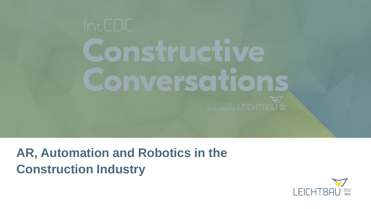# mstructiv  $\equiv$  $\overline{\phantom{a}}$ nverscitio

## **AR, Automation and Robotics in the Construction Industry**

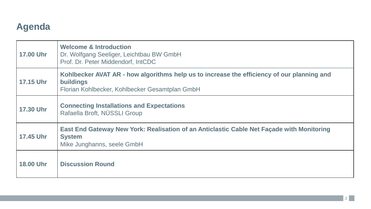## **Agenda**

| <b>17.00 Uhr</b> | <b>Welcome &amp; Introduction</b><br>Dr. Wolfgang Seeliger, Leichtbau BW GmbH<br>Prof. Dr. Peter Middendorf, IntCDC                                              |
|------------------|------------------------------------------------------------------------------------------------------------------------------------------------------------------|
| <b>17.15 Uhr</b> | Kohlbecker AVAT AR - how algorithms help us to increase the efficiency of our planning and<br><b>buildings</b><br>Florian Kohlbecker, Kohlbecker Gesamtplan GmbH |
| <b>17.30 Uhr</b> | <b>Connecting Installations and Expectations</b><br>Rafaella Broft, NÜSSLI Group                                                                                 |
| <b>17.45 Uhr</b> | East End Gateway New York: Realisation of an Anticlastic Cable Net Façade with Monitoring<br><b>System</b><br>Mike Junghanns, seele GmbH                         |
| <b>18.00 Uhr</b> | <b>Discussion Round</b>                                                                                                                                          |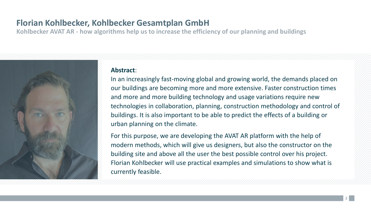## **Florian Kohlbecker, Kohlbecker Gesamtplan GmbH**

**Kohlbecker AVAT AR - how algorithms help us to increase the efficiency of our planning and buildings**



#### **Abstract**:

In an increasingly fast-moving global and growing world, the demands placed on our buildings are becoming more and more extensive. Faster construction times and more and more building technology and usage variations require new technologies in collaboration, planning, construction methodology and control of buildings. It is also important to be able to predict the effects of a building or urban planning on the climate.

For this purpose, we are developing the AVAT AR platform with the help of modern methods, which will give us designers, but also the constructor on the building site and above all the user the best possible control over his project. Florian Kohlbecker will use practical examples and simulations to show what is currently feasible.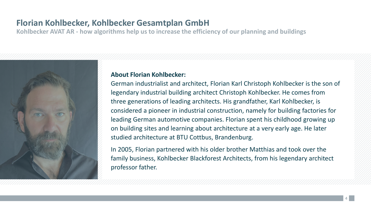## **Florian Kohlbecker, Kohlbecker Gesamtplan GmbH**

**Kohlbecker AVAT AR - how algorithms help us to increase the efficiency of our planning and buildings**



#### **About Florian Kohlbecker:**

German industrialist and architect, Florian Karl Christoph Kohlbecker is the son of legendary industrial building architect Christoph Kohlbecker. He comes from three generations of leading architects. His grandfather, Karl Kohlbecker, is considered a pioneer in industrial construction, namely for building factories for leading German automotive companies. Florian spent his childhood growing up on building sites and learning about architecture at a very early age. He later studied architecture at BTU Cottbus, Brandenburg.

In 2005, Florian partnered with his older brother Matthias and took over the family business, Kohlbecker Blackforest Architects, from his legendary architect professor father.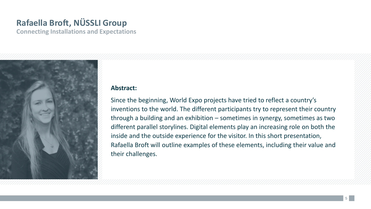## **Rafaella Broft, NÜSSLI Group**

**Connecting Installations and Expectations**



#### **Abstract:**

Since the beginning, World Expo projects have tried to reflect a country's inventions to the world. The different participants try to represent their country through a building and an exhibition – sometimes in synergy, sometimes as two different parallel storylines. Digital elements play an increasing role on both the inside and the outside experience for the visitor. In this short presentation, Rafaella Broft will outline examples of these elements, including their value and their challenges.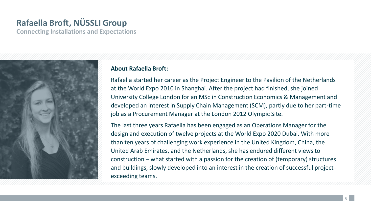## **Rafaella Broft, NÜSSLI Group**

**Connecting Installations and Expectations**



#### **About Rafaella Broft:**

Rafaella started her career as the Project Engineer to the Pavilion of the Netherlands at the World Expo 2010 in Shanghai. After the project had finished, she joined University College London for an MSc in Construction Economics & Management and developed an interest in Supply Chain Management (SCM), partly due to her part-time job as a Procurement Manager at the London 2012 Olympic Site.

The last three years Rafaella has been engaged as an Operations Manager for the design and execution of twelve projects at the World Expo 2020 Dubai. With more than ten years of challenging work experience in the United Kingdom, China, the United Arab Emirates, and the Netherlands, she has endured different views to construction – what started with a passion for the creation of (temporary) structures and buildings, slowly developed into an interest in the creation of successful projectexceeding teams.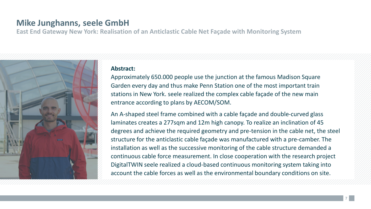### **Mike Junghanns, seele GmbH**

**East End Gateway New York: Realisation of an Anticlastic Cable Net Façade with Monitoring System**



#### **Abstract:**

Approximately 650.000 people use the junction at the famous Madison Square Garden every day and thus make Penn Station one of the most important train stations in New York. seele realized the complex cable façade of the new main entrance according to plans by AECOM/SOM.

An A-shaped steel frame combined with a cable façade and double-curved glass laminates creates a 277sqm and 12m high canopy. To realize an inclination of 45 degrees and achieve the required geometry and pre-tension in the cable net, the steel structure for the anticlastic cable façade was manufactured with a pre-camber. The installation as well as the successive monitoring of the cable structure demanded a continuous cable force measurement. In close cooperation with the research project DigitalTWIN seele realized a cloud-based continuous monitoring system taking into account the cable forces as well as the environmental boundary conditions on site.